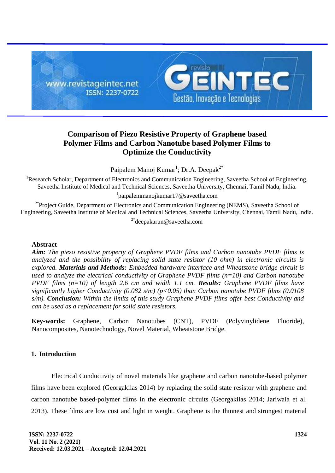

# **Comparison of Piezo Resistive Property of Graphene based Polymer Films and Carbon Nanotube based Polymer Films to Optimize the Conductivity**

Paipalem Manoj Kumar<sup>1</sup>; Dr.A. Deepak<sup>2\*</sup>

<sup>1</sup>Research Scholar, Department of Electronics and Communication Engineering, Saveetha School of Engineering, Saveetha Institute of Medical and Technical Sciences, Saveetha University, Chennai, Tamil Nadu, India.

1 paipalemmanojkumar17@saveetha.com

 $2*$ Project Guide, Department of Electronics and Communication Engineering (NEMS), Saveetha School of Engineering, Saveetha Institute of Medical and Technical Sciences, Saveetha University, Chennai, Tamil Nadu, India.

2\*deepakarun@saveetha.com

#### **Abstract**

*Aim: The piezo resistive property of Graphene PVDF films and Carbon nanotube PVDF films is analyzed and the possibility of replacing solid state resistor (10 ohm) in electronic circuits is explored. Materials and Methods: Embedded hardware interface and Wheatstone bridge circuit is used to analyze the electrical conductivity of Graphene PVDF films (n=10) and Carbon nanotube PVDF films (n=10) of length 2.6 cm and width 1.1 cm. Results: Graphene PVDF films have significantly higher Conductivity (0.082 s/m) (p<0.05) than Carbon nanotube PVDF films (0.0108 s/m). Conclusion: Within the limits of this study Graphene PVDF films offer best Conductivity and can be used as a replacement for solid state resistors.*

**Key-words:** Graphene, Carbon Nanotubes (CNT), PVDF (Polyvinylidene Fluoride), Nanocomposites, Nanotechnology, Novel Material, Wheatstone Bridge.

## **1. Introduction**

Electrical Conductivity of novel materials like graphene and carbon nanotube-based polymer films have been explored (Georgakilas 2014) by replacing the solid state resistor with graphene and carbon nanotube based-polymer films in the electronic circuits (Georgakilas 2014; Jariwala et al. 2013). These films are low cost and light in weight. Graphene is the thinnest and strongest material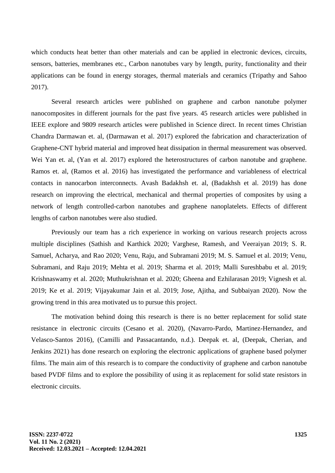which conducts heat better than other materials and can be applied in electronic devices, circuits, sensors, batteries, membranes etc., Carbon nanotubes vary by length, purity, functionality and their applications can be found in energy storages, thermal materials and ceramics (Tripathy and Sahoo 2017).

Several research articles were published on graphene and carbon nanotube polymer nanocomposites in different journals for the past five years. 45 research articles were published in IEEE explore and 9809 research articles were published in Science direct. In recent times Christian Chandra Darmawan et. al, (Darmawan et al. 2017) explored the fabrication and characterization of Graphene-CNT hybrid material and improved heat dissipation in thermal measurement was observed. Wei Yan et. al, (Yan et al. 2017) explored the heterostructures of carbon nanotube and graphene. Ramos et. al, (Ramos et al. 2016) has investigated the performance and variableness of electrical contacts in nanocarbon interconnects. Avash Badakhsh et. al, (Badakhsh et al. 2019) has done research on improving the electrical, mechanical and thermal properties of composites by using a network of length controlled-carbon nanotubes and graphene nanoplatelets. Effects of different lengths of carbon nanotubes were also studied.

Previously our team has a rich experience in working on various research projects across multiple disciplines (Sathish and Karthick 2020; Varghese, Ramesh, and Veeraiyan 2019; S. R. Samuel, Acharya, and Rao 2020; Venu, Raju, and Subramani 2019; M. S. Samuel et al. 2019; Venu, Subramani, and Raju 2019; Mehta et al. 2019; Sharma et al. 2019; Malli Sureshbabu et al. 2019; Krishnaswamy et al. 2020; Muthukrishnan et al. 2020; Gheena and Ezhilarasan 2019; Vignesh et al. 2019; Ke et al. 2019; Vijayakumar Jain et al. 2019; Jose, Ajitha, and Subbaiyan 2020). Now the growing trend in this area motivated us to pursue this project.

The motivation behind doing this research is there is no better replacement for solid state resistance in electronic circuits (Cesano et al. 2020), (Navarro-Pardo, Martinez-Hernandez, and Velasco-Santos 2016), (Camilli and Passacantando, n.d.). Deepak et. al, (Deepak, Cherian, and Jenkins 2021) has done research on exploring the electronic applications of graphene based polymer films. The main aim of this research is to compare the conductivity of graphene and carbon nanotube based PVDF films and to explore the possibility of using it as replacement for solid state resistors in electronic circuits.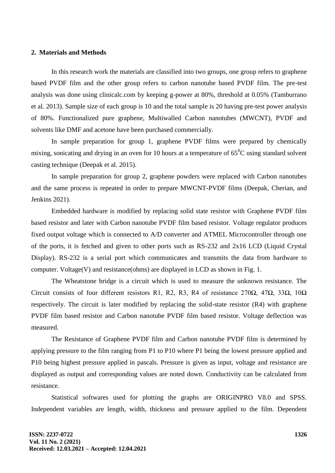## **2. Materials and Methods**

In this research work the materials are classified into two groups, one group refers to graphene based PVDF film and the other group refers to carbon nanotube based PVDF film. The pre-test analysis was done using clinicalc.com by keeping g-power at 80%, threshold at 0.05% (Tamburrano et al. 2013). Sample size of each group is 10 and the total sample is 20 having pre-test power analysis of 80%. Functionalized pure graphene, Multiwalled Carbon nanotubes (MWCNT), PVDF and solvents like DMF and acetone have been purchased commercially.

In sample preparation for group 1, graphene PVDF films were prepared by chemically mixing, sonicating and drying in an oven for 10 hours at a temperature of  $65^{\circ}$ C using standard solvent casting technique (Deepak et al. 2015).

In sample preparation for group 2, graphene powders were replaced with Carbon nanotubes and the same process is repeated in order to prepare MWCNT-PVDF films (Deepak, Cherian, and Jenkins 2021).

Embedded hardware is modified by replacing solid state resistor with Graphene PVDF film based resistor and later with Carbon nanotube PVDF film based resistor. Voltage regulator produces fixed output voltage which is connected to A/D converter and ATMEL Microcontroller through one of the ports, it is fetched and given to other ports such as RS-232 and 2x16 LCD (Liquid Crystal Display). RS-232 is a serial port which communicates and transmits the data from hardware to computer. Voltage(V) and resistance(ohms) are displayed in LCD as shown in Fig. 1.

The Wheatstone bridge is a circuit which is used to measure the unknown resistance. The Circuit consists of four different resistors R1, R2, R3, R4 of resistance 270 $\Omega$ , 47 $\Omega$ , 33 $\Omega$ , 10 $\Omega$ respectively. The circuit is later modified by replacing the solid-state resistor (R4) with graphene PVDF film based resistor and Carbon nanotube PVDF film based resistor. Voltage deflection was measured.

The Resistance of Graphene PVDF film and Carbon nanotube PVDF film is determined by applying pressure to the film ranging from P1 to P10 where P1 being the lowest pressure applied and P10 being highest pressure applied in pascals. Pressure is given as input, voltage and resistance are displayed as output and corresponding values are noted down. Conductivity can be calculated from resistance.

Statistical softwares used for plotting the graphs are ORIGINPRO V8.0 and SPSS. Independent variables are length, width, thickness and pressure applied to the film. Dependent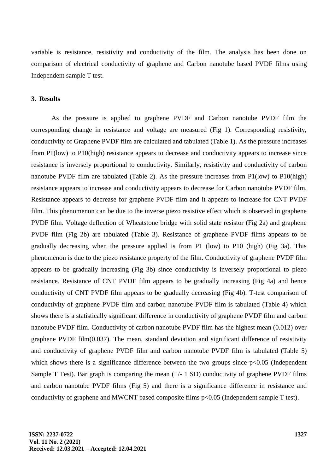variable is resistance, resistivity and conductivity of the film. The analysis has been done on comparison of electrical conductivity of graphene and Carbon nanotube based PVDF films using Independent sample T test.

#### **3. Results**

As the pressure is applied to graphene PVDF and Carbon nanotube PVDF film the corresponding change in resistance and voltage are measured (Fig 1). Corresponding resistivity, conductivity of Graphene PVDF film are calculated and tabulated (Table 1). As the pressure increases from P1(low) to P10(high) resistance appears to decrease and conductivity appears to increase since resistance is inversely proportional to conductivity. Similarly, resistivity and conductivity of carbon nanotube PVDF film are tabulated (Table 2). As the pressure increases from P1(low) to P10(high) resistance appears to increase and conductivity appears to decrease for Carbon nanotube PVDF film. Resistance appears to decrease for graphene PVDF film and it appears to increase for CNT PVDF film. This phenomenon can be due to the inverse piezo resistive effect which is observed in graphene PVDF film. Voltage deflection of Wheatstone bridge with solid state resistor (Fig 2a) and graphene PVDF film (Fig 2b) are tabulated (Table 3). Resistance of graphene PVDF films appears to be gradually decreasing when the pressure applied is from P1 (low) to P10 (high) (Fig 3a). This phenomenon is due to the piezo resistance property of the film. Conductivity of graphene PVDF film appears to be gradually increasing (Fig 3b) since conductivity is inversely proportional to piezo resistance. Resistance of CNT PVDF film appears to be gradually increasing (Fig 4a) and hence conductivity of CNT PVDF film appears to be gradually decreasing (Fig 4b). T-test comparison of conductivity of graphene PVDF film and carbon nanotube PVDF film is tabulated (Table 4) which shows there is a statistically significant difference in conductivity of graphene PVDF film and carbon nanotube PVDF film. Conductivity of carbon nanotube PVDF film has the highest mean (0.012) over graphene PVDF film $(0.037)$ . The mean, standard deviation and significant difference of resistivity and conductivity of graphene PVDF film and carbon nanotube PVDF film is tabulated (Table 5) which shows there is a significance difference between the two groups since  $p<0.05$  (Independent Sample T Test). Bar graph is comparing the mean  $(+/- 1$  SD) conductivity of graphene PVDF films and carbon nanotube PVDF films (Fig 5) and there is a significance difference in resistance and conductivity of graphene and MWCNT based composite films p<0.05 (Independent sample T test).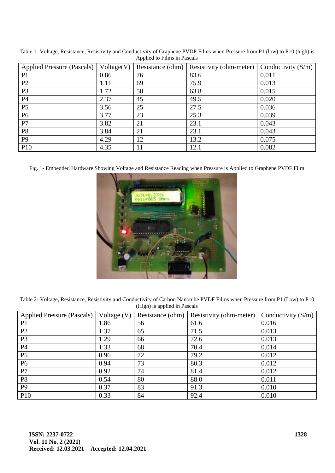| Voltage(V)<br><b>Applied Pressure (Pascals)</b> |      | Resistance (ohm) | Resistivity (ohm-meter) | Conductivity $(S/m)$ |  |
|-------------------------------------------------|------|------------------|-------------------------|----------------------|--|
| P <sub>1</sub>                                  | 0.86 | 76               | 83.6                    | 0.011                |  |
| P2                                              | 1.11 | 69               | 75.9                    | 0.013                |  |
| P <sub>3</sub>                                  | 1.72 | 58               | 63.8                    | 0.015                |  |
| P4                                              | 2.37 | 45               | 49.5                    | 0.020                |  |
| P <sub>5</sub>                                  | 3.56 | 25               | 27.5                    | 0.036                |  |
| P <sub>6</sub>                                  | 3.77 | 23               | 25.3                    | 0.039                |  |
| P7                                              | 3.82 | 21               | 23.1                    | 0.043                |  |
| P <sub>8</sub>                                  | 3.84 | 21               | 23.1                    | 0.043                |  |
| P <sub>9</sub>                                  | 4.29 | 12               | 13.2                    | 0.075                |  |
| P10                                             | 4.35 | 11               | 12.1                    | 0.082                |  |

Table 1- Voltage, Resistance, Resistivity and Conductivity of Graphene PVDF Films when Pressure from P1 (low) to P10 (high) is Applied to Films in Pascals

Fig. 1- Embedded Hardware Showing Voltage and Resistance Reading when Pressure is Applied to Graphene PVDF Film



Table 2- Voltage, Resistance, Resistivity and Conductivity of Carbon Nanotube PVDF Films when Pressure from P1 (Low) to P10 (High) is applied in Pascals

| <b>Applied Pressure (Pascals)</b> | Voltage $(V)$ | Resistance (ohm) | Resistivity (ohm-meter) | Conductivity $(S/m)$ |
|-----------------------------------|---------------|------------------|-------------------------|----------------------|
| P <sub>1</sub>                    | 1.86          | 56               | 61.6                    | 0.016                |
| P <sub>2</sub>                    | 1.37          | 65               | 71.5                    | 0.013                |
| P <sub>3</sub>                    | 1.29          | 66               | 72.6                    | 0.013                |
| P4                                | 1.33          | 68               | 70.4                    | 0.014                |
| P <sub>5</sub>                    | 0.96          | 72               | 79.2                    | 0.012                |
| P <sub>6</sub>                    | 0.94          | 73               | 80.3                    | 0.012                |
| P7                                | 0.92          | 74               | 81.4                    | 0.012                |
| P <sub>8</sub>                    | 0.54          | 80               | 88.0                    | 0.011                |
| P <sub>9</sub>                    | 0.37          | 83               | 91.3                    | 0.010                |
| <b>P10</b>                        | 0.33          | 84               | 92.4                    | 0.010                |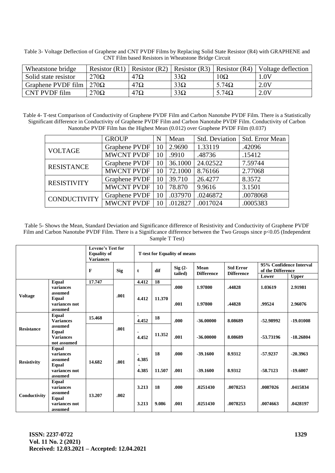| Wheatstone bridge    |             |            |            |               | Resistor (R1)   Resistor (R2)   Resistor (R3)   Resistor (R4)   Voltage deflection |
|----------------------|-------------|------------|------------|---------------|------------------------------------------------------------------------------------|
| Solid state resistor | $270\Omega$ | $47\Omega$ | $33\Omega$ | $10\Omega$    | LOV                                                                                |
| Graphene PVDF film   | $270\Omega$ | $47\Omega$ | $33\Omega$ | $5.74\Omega$  | 2.0V                                                                               |
| CNT PVDF film        | $270\Omega$ | $47\Omega$ | $33\Omega$ | 5.74 $\Omega$ | 2.0V                                                                               |

Table 3- Voltage Deflection of Graphene and CNT PVDF Films by Replacing Solid State Resistor (R4) with GRAPHENE and CNT Film based Resistors in Wheatstone Bridge Circuit

Table 4- T-test Comparison of Conductivity of Graphene PVDF Film and Carbon Nanotube PVDF Film. There is a Statistically Significant difference in Conductivity of Graphene PVDF Film and Carbon Nanotube PVDF Film. Conductivity of Carbon Nanotube PVDF Film has the Highest Mean (0.012) over Graphene PVDF Film (0.037)

|                     | <b>GROUP</b>      | N  | Mean    | Std. Deviation | Std. Error Mean |
|---------------------|-------------------|----|---------|----------------|-----------------|
| <b>VOLTAGE</b>      | Graphene PVDF     | 10 | 2.9690  | 1.33119        | .42096          |
|                     | <b>MWCNT PVDF</b> | 10 | .9910   | .48736         | .15412          |
| <b>RESISTANCE</b>   | Graphene PVDF     | 10 | 36.1000 | 24.02522       | 7.59744         |
|                     | <b>MWCNT PVDF</b> | 10 | 72.1000 | 8.76166        | 2.77068         |
| <b>RESISTIVITY</b>  | Graphene PVDF     | 10 | 39.710  | 26.4277        | 8.3572          |
|                     | <b>MWCNT PVDF</b> | 10 | 78.870  | 9.9616         | 3.1501          |
| <b>CONDUCTIVITY</b> | Graphene PVDF     | 10 | .037970 | .0246872       | .0078068        |
|                     | <b>MWCNT PVDF</b> | 10 | .012827 | .0017024       | .0005383        |

Table 5- Shows the Mean, Standard Deviation and Significance difference of Resistivity and Conductivity of Graphene PVDF Film and Carbon Nanotube PVDF Film. There is a Significance difference between the Two Groups since p<0.05 (Independent Sample T Test)

|                    |                                                            | <b>Levene's Test for</b><br><b>Equality of</b><br><b>Variances</b> |            | <b>T-test for Equality of means</b> |                     |                      |                           |                                       |                                                       |                          |  |
|--------------------|------------------------------------------------------------|--------------------------------------------------------------------|------------|-------------------------------------|---------------------|----------------------|---------------------------|---------------------------------------|-------------------------------------------------------|--------------------------|--|
|                    |                                                            | $\bf{F}$                                                           | <b>Sig</b> | t                                   | dif                 | $Sig(2 -$<br>tailed) | Mean<br><b>Difference</b> | <b>Std Error</b><br><b>Difference</b> | 95% Confidence Interval<br>of the Difference<br>Lower | <b>Upper</b>             |  |
|                    | Equal                                                      | 17.747                                                             |            | 4.412                               | 18                  |                      |                           |                                       |                                                       |                          |  |
|                    | variances                                                  |                                                                    | .001       |                                     |                     | .000                 | 1.97800                   | .44828                                | 1.03619                                               | 2.91981                  |  |
| <b>Voltage</b>     | assumed<br>Equal<br>variances not<br>assumed               |                                                                    |            | 4.412                               | 11.370              | .001                 | 1.97800                   | .44828                                | .99524                                                | 2.96076                  |  |
| <b>Resistance</b>  | <b>Equal</b><br><b>Variances</b>                           | 15.468                                                             | .001       | 4.452                               | 18                  | .000                 | $-36,00000$               | 8.08689                               | -52,98992                                             | $-19.01008$              |  |
|                    | assumed<br><b>Equal</b><br><b>Variances</b><br>not assumed |                                                                    |            | 4.452                               | 11.352              | .001                 | $-36,00000$               | 8.08689                               | -53.73196                                             | $-18.26804$              |  |
| <b>Resistivity</b> | Equal<br>variances<br>assumed<br>Equal<br>variances not    | 14.682                                                             | .001       | $\blacksquare$<br>4.385<br>4.385    | <b>18</b><br>11.507 | .000<br>.001         | $-39.1600$<br>$-39.1600$  | 8.9312<br>8.9312                      | $-57.9237$<br>$-58.7123$                              | $-20.3963$<br>$-19,6007$ |  |
|                    | assumed                                                    |                                                                    |            |                                     |                     |                      |                           |                                       |                                                       |                          |  |
| Conductivity       | Equal<br>variances<br>assumed                              | 13.207                                                             | .002       | 3.213                               | 18                  | .000.                | .0251430                  | .0078253                              | .0087026                                              | .0415834                 |  |
|                    | Equal<br>variances not<br>assumed                          |                                                                    |            | 3.213                               | 9.086               | .001                 | .0251430                  | .0078253                              | .0074663                                              | .0428197                 |  |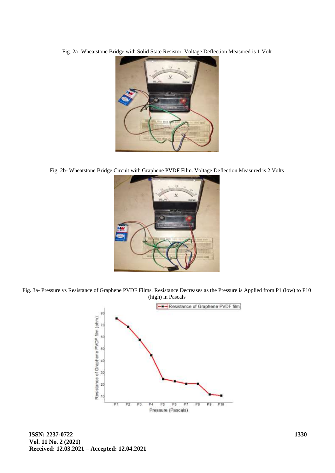Fig. 2a- Wheatstone Bridge with Solid State Resistor. Voltage Deflection Measured is 1 Volt



Fig. 2b- Wheatstone Bridge Circuit with Graphene PVDF Film. Voltage Deflection Measured is 2 Volts



Fig. 3a- Pressure vs Resistance of Graphene PVDF Films. Resistance Decreases as the Pressure is Applied from P1 (low) to P10 (high) in Pascals

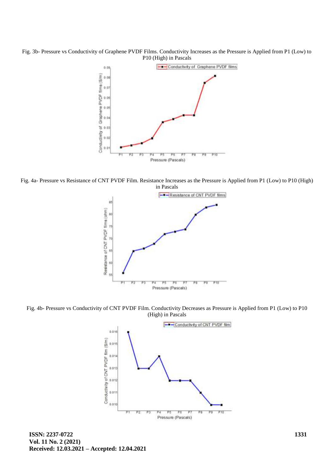Fig. 3b- Pressure vs Conductivity of Graphene PVDF Films. Conductivity Increases as the Pressure is Applied from P1 (Low) to P10 (High) in Pascals



Fig. 4a- Pressure vs Resistance of CNT PVDF Film. Resistance Increases as the Pressure is Applied from P1 (Low) to P10 (High) in Pascals



Fig. 4b- Pressure vs Conductivity of CNT PVDF Film. Conductivity Decreases as Pressure is Applied from P1 (Low) to P10 (High) in Pascals



**ISSN: 2237-0722 Vol. 11 No. 2 (2021) Received: 12.03.2021 – Accepted: 12.04.2021**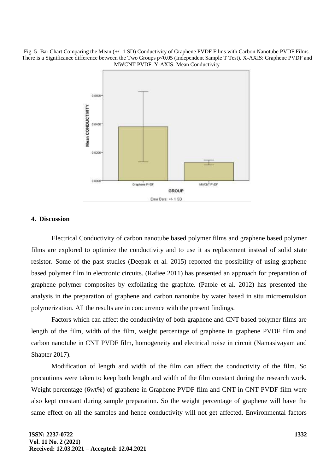Fig. 5- Bar Chart Comparing the Mean (+/- 1 SD) Conductivity of Graphene PVDF Films with Carbon Nanotube PVDF Films. There is a Significance difference between the Two Groups p<0.05 (Independent Sample T Test). X-AXIS: Graphene PVDF and MWCNT PVDF. Y-AXIS: Mean Conductivity



## **4. Discussion**

Electrical Conductivity of carbon nanotube based polymer films and graphene based polymer films are explored to optimize the conductivity and to use it as replacement instead of solid state resistor. Some of the past studies (Deepak et al. 2015) reported the possibility of using graphene based polymer film in electronic circuits. (Rafiee 2011) has presented an approach for preparation of graphene polymer composites by exfoliating the graphite. (Patole et al. 2012) has presented the analysis in the preparation of graphene and carbon nanotube by water based in situ microemulsion polymerization. All the results are in concurrence with the present findings.

Factors which can affect the conductivity of both graphene and CNT based polymer films are length of the film, width of the film, weight percentage of graphene in graphene PVDF film and carbon nanotube in CNT PVDF film, homogeneity and electrical noise in circuit (Namasivayam and Shapter 2017).

Modification of length and width of the film can affect the conductivity of the film. So precautions were taken to keep both length and width of the film constant during the research work. Weight percentage (6wt%) of graphene in Graphene PVDF film and CNT in CNT PVDF film were also kept constant during sample preparation. So the weight percentage of graphene will have the same effect on all the samples and hence conductivity will not get affected. Environmental factors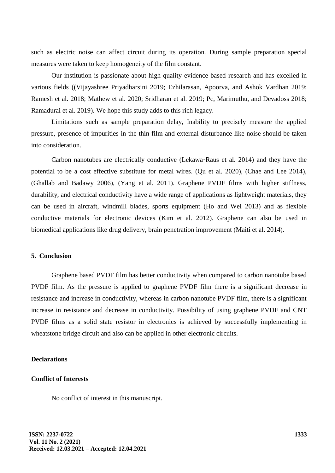such as electric noise can affect circuit during its operation. During sample preparation special measures were taken to keep homogeneity of the film constant.

Our institution is passionate about high quality evidence based research and has excelled in various fields ((Vijayashree Priyadharsini 2019; Ezhilarasan, Apoorva, and Ashok Vardhan 2019; Ramesh et al. 2018; Mathew et al. 2020; Sridharan et al. 2019; Pc, Marimuthu, and Devadoss 2018; Ramadurai et al. 2019). We hope this study adds to this rich legacy.

Limitations such as sample preparation delay, Inability to precisely measure the applied pressure, presence of impurities in the thin film and external disturbance like noise should be taken into consideration.

Carbon nanotubes are electrically conductive (Lekawa‐Raus et al. 2014) and they have the potential to be a cost effective substitute for metal wires. (Qu et al. 2020), (Chae and Lee 2014), (Ghallab and Badawy 2006), (Yang et al. 2011). Graphene PVDF films with higher stiffness, durability, and electrical conductivity have a wide range of applications as lightweight materials, they can be used in aircraft, windmill blades, sports equipment (Ho and Wei 2013) and as flexible conductive materials for electronic devices (Kim et al. 2012). Graphene can also be used in biomedical applications like drug delivery, brain penetration improvement (Maiti et al. 2014).

### **5. Conclusion**

Graphene based PVDF film has better conductivity when compared to carbon nanotube based PVDF film. As the pressure is applied to graphene PVDF film there is a significant decrease in resistance and increase in conductivity, whereas in carbon nanotube PVDF film, there is a significant increase in resistance and decrease in conductivity. Possibility of using graphene PVDF and CNT PVDF films as a solid state resistor in electronics is achieved by successfully implementing in wheatstone bridge circuit and also can be applied in other electronic circuits.

#### **Declarations**

## **Conflict of Interests**

No conflict of interest in this manuscript.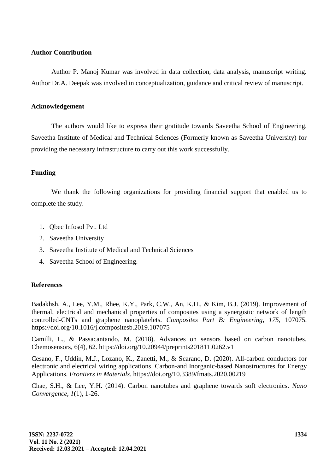## **Author Contribution**

Author P. Manoj Kumar was involved in data collection, data analysis, manuscript writing. Author Dr.A. Deepak was involved in conceptualization, guidance and critical review of manuscript.

## **Acknowledgement**

The authors would like to express their gratitude towards Saveetha School of Engineering, Saveetha Institute of Medical and Technical Sciences (Formerly known as Saveetha University) for providing the necessary infrastructure to carry out this work successfully.

## **Funding**

We thank the following organizations for providing financial support that enabled us to complete the study.

- 1. Qbec Infosol Pvt. Ltd
- 2. Saveetha University
- 3. Saveetha Institute of Medical and Technical Sciences
- 4. Saveetha School of Engineering.

## **References**

Badakhsh, A., Lee, Y.M., Rhee, K.Y., Park, C.W., An, K.H., & Kim, B.J. (2019). Improvement of thermal, electrical and mechanical properties of composites using a synergistic network of length controlled-CNTs and graphene nanoplatelets. *Composites Part B: Engineering, 175,* 107075. https://doi.org/10.1016/j.compositesb.2019.107075

Camilli, L., & Passacantando, M. (2018). Advances on sensors based on carbon nanotubes. Chemosensors, 6(4), 62. https://doi.org/10.20944/preprints201811.0262.v1

Cesano, F., Uddin, M.J., Lozano, K., Zanetti, M., & Scarano, D. (2020). All-carbon conductors for electronic and electrical wiring applications. Carbon-and Inorganic-based Nanostructures for Energy Applications. *Frontiers in Materials*. https://doi.org/10.3389/fmats.2020.00219

Chae, S.H., & Lee, Y.H. (2014). Carbon nanotubes and graphene towards soft electronics. *Nano Convergence, 1*(1), 1-26.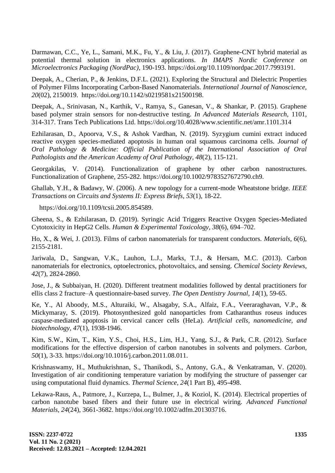Darmawan, C.C., Ye, L., Samani, M.K., Fu, Y., & Liu, J. (2017). Graphene-CNT hybrid material as potential thermal solution in electronics applications. *In IMAPS Nordic Conference on Microelectronics Packaging (NordPac),* 190-193. https://doi.org/10.1109/nordpac.2017.7993191.

Deepak, A., Cherian, P., & Jenkins, D.F.L. (2021). Exploring the Structural and Dielectric Properties of Polymer Films Incorporating Carbon-Based Nanomaterials. *International Journal of Nanoscience, 20*(02), 2150019. https://doi.org/10.1142/s0219581x21500198.

Deepak, A., Srinivasan, N., Karthik, V., Ramya, S., Ganesan, V., & Shankar, P. (2015). Graphene based polymer strain sensors for non-destructive testing. *In Advanced Materials Research,* 1101, 314-317. Trans Tech Publications Ltd. https://doi.org/10.4028/www.scientific.net/amr.1101.314

Ezhilarasan, D., Apoorva, V.S., & Ashok Vardhan, N. (2019). Syzygium cumini extract induced reactive oxygen species-mediated apoptosis in human oral squamous carcinoma cells. *Journal of Oral Pathology & Medicine: Official Publication of the International Association of Oral Pathologists and the American Academy of Oral Pathology, 48*(2), 115-121.

Georgakilas, V. (2014). Functionalization of graphene by other carbon nanostructures. Functionalization of Graphene, 255-282. https://doi.org/10.1002/9783527672790.ch9.

Ghallab, Y.H., & Badawy, W. (2006). A new topology for a current-mode Wheatstone bridge. *IEEE Transactions on Circuits and Systems II: Express Briefs, 53*(1), 18-22.

https://doi.org/10.1109/tcsii.2005.854589.

Gheena, S., & Ezhilarasan, D. (2019). Syringic Acid Triggers Reactive Oxygen Species-Mediated Cytotoxicity in HepG2 Cells. *Human & Experimental Toxicology, 38*(6), 694–702.

Ho, X., & Wei, J. (2013). Films of carbon nanomaterials for transparent conductors. *Materials, 6*(6), 2155-2181.

Jariwala, D., Sangwan, V.K., Lauhon, L.J., Marks, T.J., & Hersam, M.C. (2013). Carbon nanomaterials for electronics, optoelectronics, photovoltaics, and sensing. *Chemical Society Reviews, 42*(7), 2824-2860.

Jose, J., & Subbaiyan, H. (2020). Different treatment modalities followed by dental practitioners for ellis class 2 fracture–A questionnaire-based survey. *The Open Dentistry Journal, 14*(1), 59-65.

Ke, Y., Al Aboody, M.S., Alturaiki, W., Alsagaby, S.A., Alfaiz, F.A., Veeraraghavan, V.P., & Mickymaray, S. (2019). Photosynthesized gold nanoparticles from Catharanthus roseus induces caspase-mediated apoptosis in cervical cancer cells (HeLa). *Artificial cells, nanomedicine, and biotechnology, 47*(1), 1938-1946.

Kim, S.W., Kim, T., Kim, Y.S., Choi, H.S., Lim, H.J., Yang, S.J., & Park, C.R. (2012). Surface modifications for the effective dispersion of carbon nanotubes in solvents and polymers. *Carbon, 50*(1), 3-33. https://doi.org/10.1016/j.carbon.2011.08.011.

Krishnaswamy, H., Muthukrishnan, S., Thanikodi, S., Antony, G.A., & Venkatraman, V. (2020). Investigation of air conditioning temperature variation by modifying the structure of passenger car using computational fluid dynamics. *Thermal Science, 24*(1 Part B), 495-498.

Lekawa-Raus, A., Patmore, J., Kurzepa, L., Bulmer, J., & Koziol, K. (2014). Electrical properties of carbon nanotube based fibers and their future use in electrical wiring. *Advanced Functional Materials, 24*(24), 3661-3682. https://doi.org/10.1002/adfm.201303716.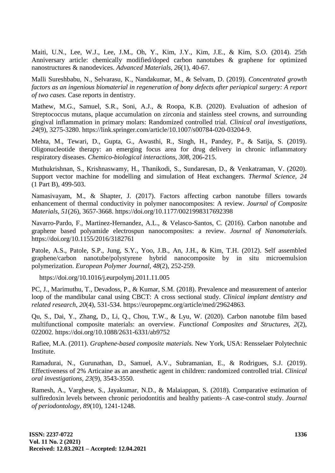Maiti, U.N., Lee, W.J., Lee, J.M., Oh, Y., Kim, J.Y., Kim, J.E., & Kim, S.O. (2014). 25th Anniversary article: chemically modified/doped carbon nanotubes & graphene for optimized nanostructures & nanodevices. *Advanced Materials, 26*(1), 40-67.

Malli Sureshbabu, N., Selvarasu, K., Nandakumar, M., & Selvam, D. (2019). *Concentrated growth factors as an ingenious biomaterial in regeneration of bony defects after periapical surgery: A report of two cases.* Case reports in dentistry.

Mathew, M.G., Samuel, S.R., Soni, A.J., & Roopa, K.B. (2020). Evaluation of adhesion of Streptococcus mutans, plaque accumulation on zirconia and stainless steel crowns, and surrounding gingival inflammation in primary molars: Randomized controlled trial. *Clinical oral investigations, 24*(9), 3275-3280. https://link.springer.com/article/10.1007/s00784-020-03204-9.

Mehta, M., Tewari, D., Gupta, G., Awasthi, R., Singh, H., Pandey, P., & Satija, S. (2019). Oligonucleotide therapy: an emerging focus area for drug delivery in chronic inflammatory respiratory diseases. *Chemico-biological interactions, 308,* 206-215.

Muthukrishnan, S., Krishnaswamy, H., Thanikodi, S., Sundaresan, D., & Venkatraman, V. (2020). Support vector machine for modelling and simulation of Heat exchangers. *Thermal Science, 24*  (1 Part B), 499-503.

Namasivayam, M., & Shapter, J. (2017). Factors affecting carbon nanotube fillers towards enhancement of thermal conductivity in polymer nanocomposites: A review. *Journal of Composite Materials, 51*(26), 3657-3668. https://doi.org/10.1177/0021998317692398

Navarro-Pardo, F., Martinez-Hernandez, A.L., & Velasco-Santos, C. (2016). Carbon nanotube and graphene based polyamide electrospun nanocomposites: a review. *Journal of Nanomaterials.* https://doi.org/10.1155/2016/3182761

Patole, A.S., Patole, S.P., Jung, S.Y., Yoo, J.B., An, J.H., & Kim, T.H. (2012). Self assembled graphene/carbon nanotube/polystyrene hybrid nanocomposite by in situ microemulsion polymerization. *European Polymer Journal, 48*(2), 252-259.

https://doi.org/10.1016/j.eurpolymj.2011.11.005

PC, J., Marimuthu, T., Devadoss, P., & Kumar, S.M. (2018). Prevalence and measurement of anterior loop of the mandibular canal using CBCT: A cross sectional study. *Clinical implant dentistry and related research, 20*(4), 531-534. https://europepmc.org/article/med/29624863.

Qu, S., Dai, Y., Zhang, D., Li, Q., Chou, T.W., & Lyu, W. (2020). Carbon nanotube film based multifunctional composite materials: an overview. *Functional Composites and Structures, 2*(2), 022002. https://doi.org/10.1088/2631-6331/ab9752

Rafiee, M.A. (2011). *Graphene-based composite materials.* New York, USA: Rensselaer Polytechnic Institute.

Ramadurai, N., Gurunathan, D., Samuel, A.V., Subramanian, E., & Rodrigues, S.J. (2019). Effectiveness of 2% Articaine as an anesthetic agent in children: randomized controlled trial. *Clinical oral investigations, 23*(9), 3543-3550.

Ramesh, A., Varghese, S., Jayakumar, N.D., & Malaiappan, S. (2018). Comparative estimation of sulfiredoxin levels between chronic periodontitis and healthy patients–A case-control study. *Journal of periodontology, 89*(10), 1241-1248.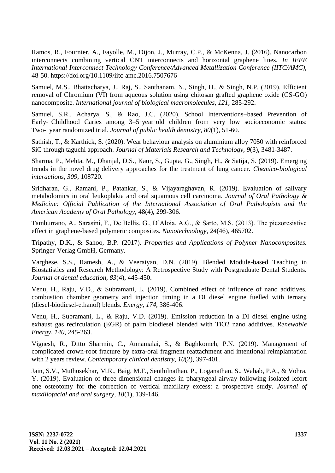Ramos, R., Fournier, A., Fayolle, M., Dijon, J., Murray, C.P., & McKenna, J. (2016). Nanocarbon interconnects combining vertical CNT interconnects and horizontal graphene lines. *In IEEE International Interconnect Technology Conference/Advanced Metallization Conference (IITC/AMC),* 48-50. https://doi.org/10.1109/iitc-amc.2016.7507676

Samuel, M.S., Bhattacharya, J., Raj, S., Santhanam, N., Singh, H., & Singh, N.P. (2019). Efficient removal of Chromium (VI) from aqueous solution using chitosan grafted graphene oxide (CS-GO) nanocomposite. *International journal of biological macromolecules, 121,* 285-292.

Samuel, S.R., Acharya, S., & Rao, J.C. (2020). School Interventions–based Prevention of Early– Childhood Caries among 3–5-year-old children from very low socioeconomic status: Two‐ year randomized trial. *Journal of public health dentistry, 80*(1), 51-60.

Sathish, T., & Karthick, S. (2020). Wear behaviour analysis on aluminium alloy 7050 with reinforced SiC through taguchi approach. *Journal of Materials Research and Technology, 9*(3), 3481-3487.

Sharma, P., Mehta, M., Dhanjal, D.S., Kaur, S., Gupta, G., Singh, H., & Satija, S. (2019). Emerging trends in the novel drug delivery approaches for the treatment of lung cancer. *Chemico-biological interactions, 309,* 108720.

Sridharan, G., Ramani, P., Patankar, S., & Vijayaraghavan, R. (2019). Evaluation of salivary metabolomics in oral leukoplakia and oral squamous cell carcinoma. *Journal of Oral Pathology & Medicine: Official Publication of the International Association of Oral Pathologists and the American Academy of Oral Pathology,* 48(4), 299-306.

Tamburrano, A., Sarasini, F., De Bellis, G., D'Aloia, A.G., & Sarto, M.S. (2013). The piezoresistive effect in graphene-based polymeric composites. *Nanotechnology, 24*(46), 465702.

Tripathy, D.K., & Sahoo, B.P. (2017). *Properties and Applications of Polymer Nanocomposites.* Springer-Verlag GmbH, Germany.

Varghese, S.S., Ramesh, A., & Veeraiyan, D.N. (2019). Blended Module-based Teaching in Biostatistics and Research Methodology: A Retrospective Study with Postgraduate Dental Students. *Journal of dental education, 83*(4), 445-450.

Venu, H., Raju, V.D., & Subramani, L. (2019). Combined effect of influence of nano additives, combustion chamber geometry and injection timing in a DI diesel engine fuelled with ternary (diesel-biodiesel-ethanol) blends. *Energy, 174,* 386-406.

Venu, H., Subramani, L., & Raju, V.D. (2019). Emission reduction in a DI diesel engine using exhaust gas recirculation (EGR) of palm biodiesel blended with TiO2 nano additives. *Renewable Energy, 140, 245*-263.

Vignesh, R., Ditto Sharmin, C., Annamalai, S., & Baghkomeh, P.N. (2019). Management of complicated crown-root fracture by extra-oral fragment reattachment and intentional reimplantation with 2 years review. *Contemporary clinical dentistry, 10*(2), 397-401.

Jain, S.V., Muthusekhar, M.R., Baig, M.F., Senthilnathan, P., Loganathan, S., Wahab, P.A., & Vohra, Y. (2019). Evaluation of three-dimensional changes in pharyngeal airway following isolated lefort one osteotomy for the correction of vertical maxillary excess: a prospective study. *Journal of maxillofacial and oral surgery, 18*(1), 139-146.